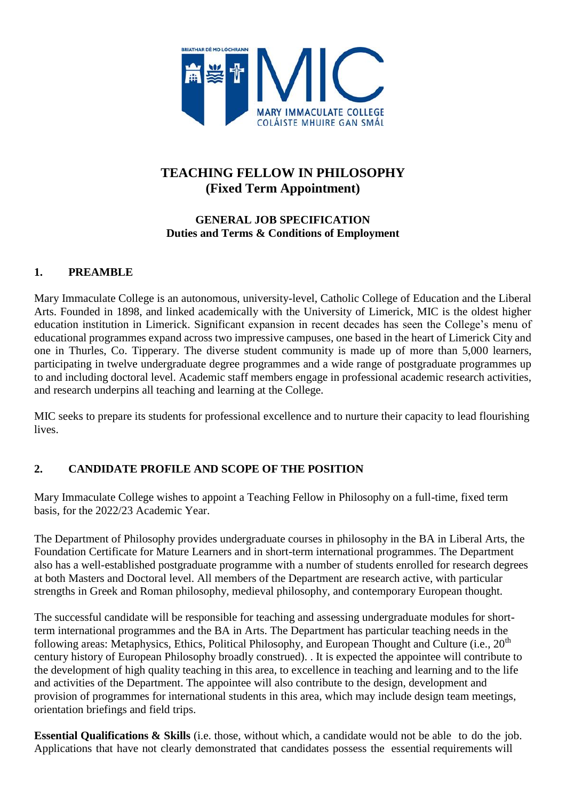

# **TEACHING FELLOW IN PHILOSOPHY (Fixed Term Appointment)**

## **GENERAL JOB SPECIFICATION Duties and Terms & Conditions of Employment**

## **1. PREAMBLE**

Mary Immaculate College is an autonomous, university-level, Catholic College of Education and the Liberal Arts. Founded in 1898, and linked academically with the University of Limerick, MIC is the oldest higher education institution in Limerick. Significant expansion in recent decades has seen the College's menu of educational programmes expand across two impressive campuses, one based in the heart of Limerick City and one in Thurles, Co. Tipperary. The diverse student community is made up of more than 5,000 learners, participating in twelve undergraduate degree programmes and a wide range of postgraduate programmes up to and including doctoral level. Academic staff members engage in professional academic research activities, and research underpins all teaching and learning at the College.

MIC seeks to prepare its students for professional excellence and to nurture their capacity to lead flourishing lives.

## **2. CANDIDATE PROFILE AND SCOPE OF THE POSITION**

Mary Immaculate College wishes to appoint a Teaching Fellow in Philosophy on a full-time, fixed term basis, for the 2022/23 Academic Year.

The Department of Philosophy provides undergraduate courses in philosophy in the BA in Liberal Arts, the Foundation Certificate for Mature Learners and in short-term international programmes. The Department also has a well-established postgraduate programme with a number of students enrolled for research degrees at both Masters and Doctoral level. All members of the Department are research active, with particular strengths in Greek and Roman philosophy, medieval philosophy, and contemporary European thought.

The successful candidate will be responsible for teaching and assessing undergraduate modules for shortterm international programmes and the BA in Arts. The Department has particular teaching needs in the following areas: Metaphysics, Ethics, Political Philosophy, and European Thought and Culture (i.e., 20<sup>th</sup>) century history of European Philosophy broadly construed). . It is expected the appointee will contribute to the development of high quality teaching in this area, to excellence in teaching and learning and to the life and activities of the Department. The appointee will also contribute to the design, development and provision of programmes for international students in this area, which may include design team meetings, orientation briefings and field trips.

**Essential Qualifications & Skills** (i.e. those, without which, a candidate would not be able to do the job. Applications that have not clearly demonstrated that candidates possess the essential requirements will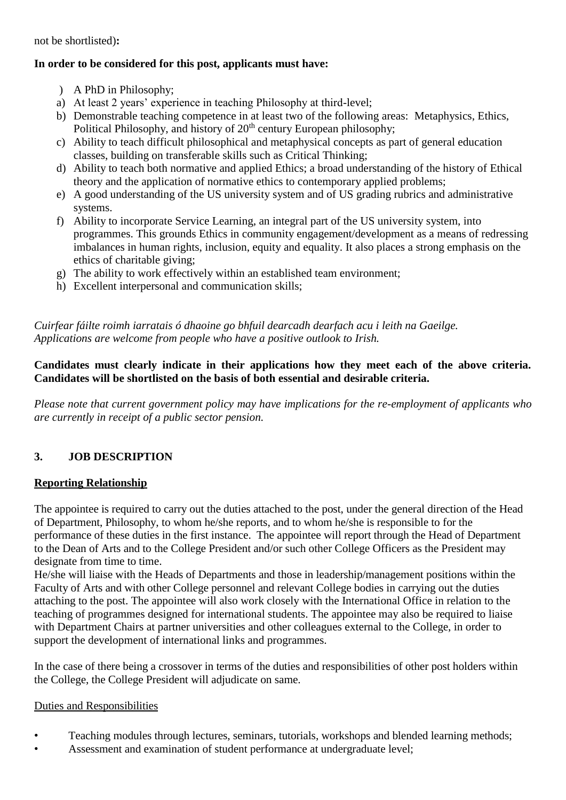not be shortlisted)**:**

## **In order to be considered for this post, applicants must have:**

- ) A PhD in Philosophy;
- a) At least 2 years' experience in teaching Philosophy at third-level;
- b) Demonstrable teaching competence in at least two of the following areas: Metaphysics, Ethics, Political Philosophy, and history of  $20<sup>th</sup>$  century European philosophy;
- c) Ability to teach difficult philosophical and metaphysical concepts as part of general education classes, building on transferable skills such as Critical Thinking;
- d) Ability to teach both normative and applied Ethics; a broad understanding of the history of Ethical theory and the application of normative ethics to contemporary applied problems;
- e) A good understanding of the US university system and of US grading rubrics and administrative systems.
- f) Ability to incorporate Service Learning, an integral part of the US university system, into programmes. This grounds Ethics in community engagement/development as a means of redressing imbalances in human rights, inclusion, equity and equality. It also places a strong emphasis on the ethics of charitable giving;
- g) The ability to work effectively within an established team environment;
- h) Excellent interpersonal and communication skills;

*Cuirfear fáilte roimh iarratais ó dhaoine go bhfuil dearcadh dearfach acu i leith na Gaeilge. Applications are welcome from people who have a positive outlook to Irish.*

#### **Candidates must clearly indicate in their applications how they meet each of the above criteria. Candidates will be shortlisted on the basis of both essential and desirable criteria.**

*Please note that current government policy may have implications for the re-employment of applicants who are currently in receipt of a public sector pension.*

## **3. JOB DESCRIPTION**

## **Reporting Relationship**

The appointee is required to carry out the duties attached to the post, under the general direction of the Head of Department, Philosophy, to whom he/she reports, and to whom he/she is responsible to for the performance of these duties in the first instance. The appointee will report through the Head of Department to the Dean of Arts and to the College President and/or such other College Officers as the President may designate from time to time.

He/she will liaise with the Heads of Departments and those in leadership/management positions within the Faculty of Arts and with other College personnel and relevant College bodies in carrying out the duties attaching to the post. The appointee will also work closely with the International Office in relation to the teaching of programmes designed for international students. The appointee may also be required to liaise with Department Chairs at partner universities and other colleagues external to the College, in order to support the development of international links and programmes.

In the case of there being a crossover in terms of the duties and responsibilities of other post holders within the College, the College President will adjudicate on same.

#### Duties and Responsibilities

- Teaching modules through lectures, seminars, tutorials, workshops and blended learning methods;
- Assessment and examination of student performance at undergraduate level;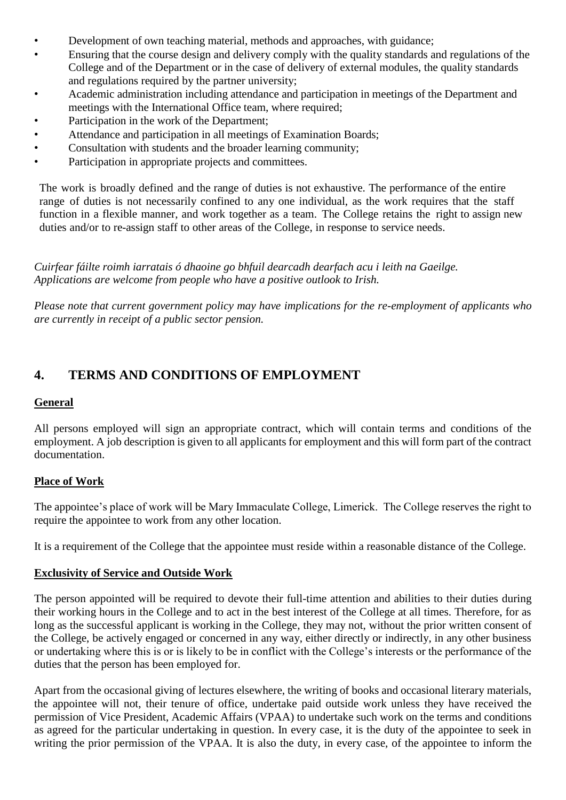- Development of own teaching material, methods and approaches, with guidance;
- Ensuring that the course design and delivery comply with the quality standards and regulations of the College and of the Department or in the case of delivery of external modules, the quality standards and regulations required by the partner university;
- Academic administration including attendance and participation in meetings of the Department and meetings with the International Office team, where required;
- Participation in the work of the Department;
- Attendance and participation in all meetings of Examination Boards;
- Consultation with students and the broader learning community;
- Participation in appropriate projects and committees.

The work is broadly defined and the range of duties is not exhaustive. The performance of the entire range of duties is not necessarily confined to any one individual, as the work requires that the staff function in a flexible manner, and work together as a team. The College retains the right to assign new duties and/or to re-assign staff to other areas of the College, in response to service needs.

*Cuirfear fáilte roimh iarratais ó dhaoine go bhfuil dearcadh dearfach acu i leith na Gaeilge. Applications are welcome from people who have a positive outlook to Irish.*

*Please note that current government policy may have implications for the re-employment of applicants who are currently in receipt of a public sector pension.*

# **4. TERMS AND CONDITIONS OF EMPLOYMENT**

## **General**

All persons employed will sign an appropriate contract, which will contain terms and conditions of the employment. A job description is given to all applicants for employment and this will form part of the contract documentation.

## **Place of Work**

The appointee's place of work will be Mary Immaculate College, Limerick. The College reserves the right to require the appointee to work from any other location.

It is a requirement of the College that the appointee must reside within a reasonable distance of the College.

## **Exclusivity of Service and Outside Work**

The person appointed will be required to devote their full-time attention and abilities to their duties during their working hours in the College and to act in the best interest of the College at all times. Therefore, for as long as the successful applicant is working in the College, they may not, without the prior written consent of the College, be actively engaged or concerned in any way, either directly or indirectly, in any other business or undertaking where this is or is likely to be in conflict with the College's interests or the performance of the duties that the person has been employed for.

Apart from the occasional giving of lectures elsewhere, the writing of books and occasional literary materials, the appointee will not, their tenure of office, undertake paid outside work unless they have received the permission of Vice President, Academic Affairs (VPAA) to undertake such work on the terms and conditions as agreed for the particular undertaking in question. In every case, it is the duty of the appointee to seek in writing the prior permission of the VPAA. It is also the duty, in every case, of the appointee to inform the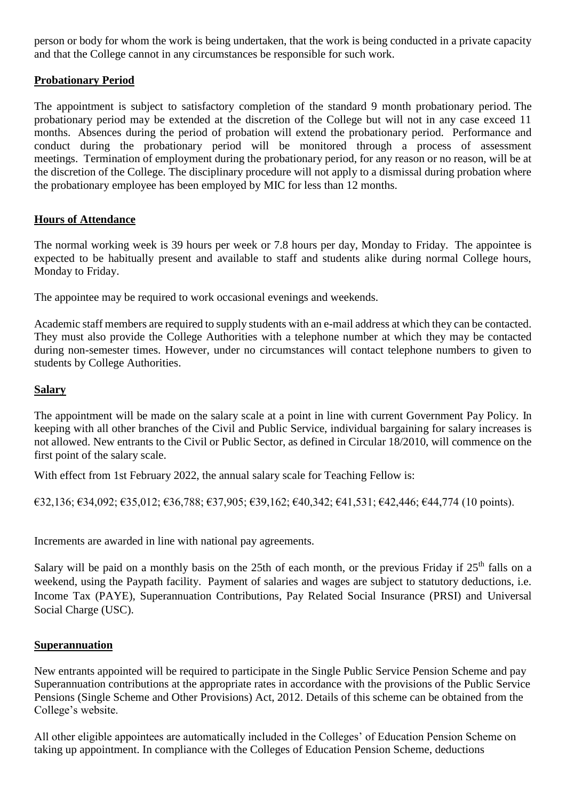person or body for whom the work is being undertaken, that the work is being conducted in a private capacity and that the College cannot in any circumstances be responsible for such work.

## **Probationary Period**

The appointment is subject to satisfactory completion of the standard 9 month probationary period. The probationary period may be extended at the discretion of the College but will not in any case exceed 11 months. Absences during the period of probation will extend the probationary period. Performance and conduct during the probationary period will be monitored through a process of assessment meetings. Termination of employment during the probationary period, for any reason or no reason, will be at the discretion of the College. The disciplinary procedure will not apply to a dismissal during probation where the probationary employee has been employed by MIC for less than 12 months.

## **Hours of Attendance**

The normal working week is 39 hours per week or 7.8 hours per day, Monday to Friday. The appointee is expected to be habitually present and available to staff and students alike during normal College hours, Monday to Friday.

The appointee may be required to work occasional evenings and weekends.

Academic staff members are required to supply students with an e-mail address at which they can be contacted. They must also provide the College Authorities with a telephone number at which they may be contacted during non-semester times. However, under no circumstances will contact telephone numbers to given to students by College Authorities.

## **Salary**

The appointment will be made on the salary scale at a point in line with current Government Pay Policy. In keeping with all other branches of the Civil and Public Service, individual bargaining for salary increases is not allowed. New entrants to the Civil or Public Sector, as defined in Circular 18/2010, will commence on the first point of the salary scale.

With effect from 1st February 2022, the annual salary scale for Teaching Fellow is:

 $\epsilon$ 32,136;  $\epsilon$ 34,092;  $\epsilon$ 35,012;  $\epsilon$ 36,788;  $\epsilon$ 37,905;  $\epsilon$ 39,162;  $\epsilon$ 40,342;  $\epsilon$ 41,531;  $\epsilon$ 42,446;  $\epsilon$ 44,774 (10 points).

Increments are awarded in line with national pay agreements.

Salary will be paid on a monthly basis on the 25th of each month, or the previous Friday if  $25<sup>th</sup>$  falls on a weekend, using the Paypath facility. Payment of salaries and wages are subject to statutory deductions, i.e. Income Tax (PAYE), Superannuation Contributions, Pay Related Social Insurance (PRSI) and Universal Social Charge (USC).

#### **Superannuation**

New entrants appointed will be required to participate in the Single Public Service Pension Scheme and pay Superannuation contributions at the appropriate rates in accordance with the provisions of the Public Service Pensions (Single Scheme and Other Provisions) Act, 2012. Details of this scheme can be obtained from the College's website.

All other eligible appointees are automatically included in the Colleges' of Education Pension Scheme on taking up appointment. In compliance with the Colleges of Education Pension Scheme, deductions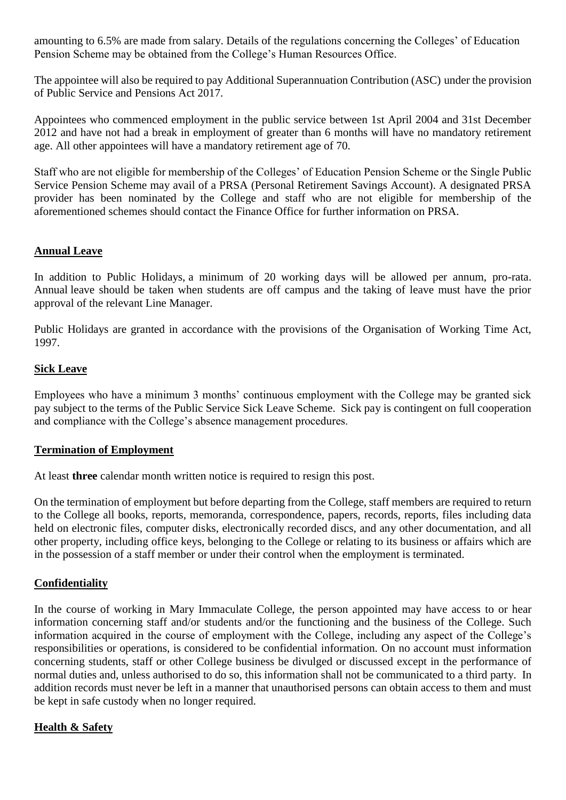amounting to 6.5% are made from salary. Details of the regulations concerning the Colleges' of Education Pension Scheme may be obtained from the College's Human Resources Office.

The appointee will also be required to pay Additional Superannuation Contribution (ASC) under the provision of Public Service and Pensions Act 2017.

Appointees who commenced employment in the public service between 1st April 2004 and 31st December 2012 and have not had a break in employment of greater than 6 months will have no mandatory retirement age. All other appointees will have a mandatory retirement age of 70.

Staff who are not eligible for membership of the Colleges' of Education Pension Scheme or the Single Public Service Pension Scheme may avail of a PRSA (Personal Retirement Savings Account). A designated PRSA provider has been nominated by the College and staff who are not eligible for membership of the aforementioned schemes should contact the Finance Office for further information on PRSA.

## **Annual Leave**

In addition to Public Holidays, a minimum of 20 working days will be allowed per annum, pro-rata. Annual leave should be taken when students are off campus and the taking of leave must have the prior approval of the relevant Line Manager.

Public Holidays are granted in accordance with the provisions of the Organisation of Working Time Act, 1997.

## **Sick Leave**

Employees who have a minimum 3 months' continuous employment with the College may be granted sick pay subject to the terms of the Public Service Sick Leave Scheme. Sick pay is contingent on full cooperation and compliance with the College's absence management procedures.

## **Termination of Employment**

At least **three** calendar month written notice is required to resign this post.

On the termination of employment but before departing from the College, staff members are required to return to the College all books, reports, memoranda, correspondence, papers, records, reports, files including data held on electronic files, computer disks, electronically recorded discs, and any other documentation, and all other property, including office keys, belonging to the College or relating to its business or affairs which are in the possession of a staff member or under their control when the employment is terminated.

## **Confidentiality**

In the course of working in Mary Immaculate College, the person appointed may have access to or hear information concerning staff and/or students and/or the functioning and the business of the College. Such information acquired in the course of employment with the College, including any aspect of the College's responsibilities or operations, is considered to be confidential information. On no account must information concerning students, staff or other College business be divulged or discussed except in the performance of normal duties and, unless authorised to do so, this information shall not be communicated to a third party. In addition records must never be left in a manner that unauthorised persons can obtain access to them and must be kept in safe custody when no longer required.

## **Health & Safety**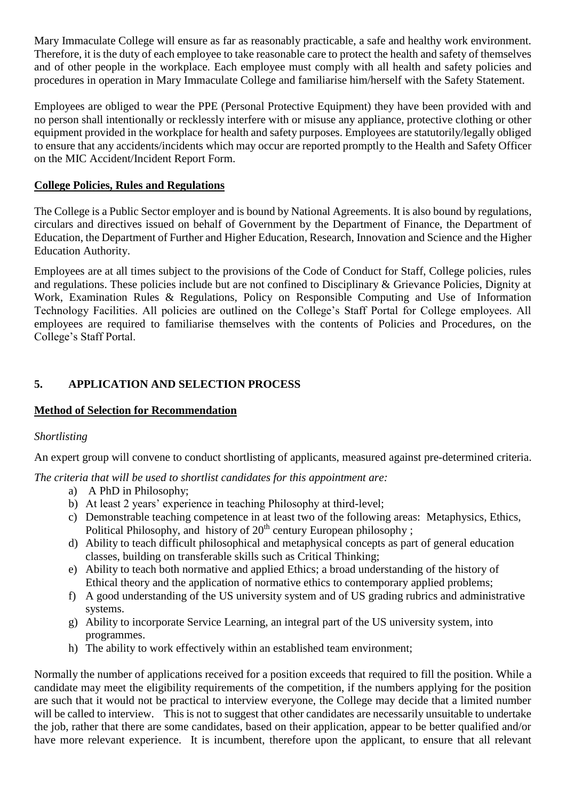Mary Immaculate College will ensure as far as reasonably practicable, a safe and healthy work environment. Therefore, it is the duty of each employee to take reasonable care to protect the health and safety of themselves and of other people in the workplace. Each employee must comply with all health and safety policies and procedures in operation in Mary Immaculate College and familiarise him/herself with the Safety Statement.

Employees are obliged to wear the PPE (Personal Protective Equipment) they have been provided with and no person shall intentionally or recklessly interfere with or misuse any appliance, protective clothing or other equipment provided in the workplace for health and safety purposes. Employees are statutorily/legally obliged to ensure that any accidents/incidents which may occur are reported promptly to the Health and Safety Officer on the MIC Accident/Incident Report Form.

## **College Policies, Rules and Regulations**

The College is a Public Sector employer and is bound by National Agreements. It is also bound by regulations, circulars and directives issued on behalf of Government by the Department of Finance, the Department of Education, the Department of Further and Higher Education, Research, Innovation and Science and the Higher Education Authority.

Employees are at all times subject to the provisions of the Code of Conduct for Staff, College policies, rules and regulations. These policies include but are not confined to Disciplinary & Grievance Policies, Dignity at Work, Examination Rules & Regulations, Policy on Responsible Computing and Use of Information Technology Facilities. All policies are outlined on the College's Staff Portal for College employees. All employees are required to familiarise themselves with the contents of Policies and Procedures, on the College's Staff Portal.

## **5. APPLICATION AND SELECTION PROCESS**

## **Method of Selection for Recommendation**

## *Shortlisting*

An expert group will convene to conduct shortlisting of applicants, measured against pre-determined criteria.

*The criteria that will be used to shortlist candidates for this appointment are:*

- a) A PhD in Philosophy;
- b) At least 2 years' experience in teaching Philosophy at third-level;
- c) Demonstrable teaching competence in at least two of the following areas: Metaphysics, Ethics, Political Philosophy, and history of 20<sup>th</sup> century European philosophy;
- d) Ability to teach difficult philosophical and metaphysical concepts as part of general education classes, building on transferable skills such as Critical Thinking;
- e) Ability to teach both normative and applied Ethics; a broad understanding of the history of Ethical theory and the application of normative ethics to contemporary applied problems;
- f) A good understanding of the US university system and of US grading rubrics and administrative systems.
- g) Ability to incorporate Service Learning, an integral part of the US university system, into programmes.
- h) The ability to work effectively within an established team environment;

Normally the number of applications received for a position exceeds that required to fill the position. While a candidate may meet the eligibility requirements of the competition, if the numbers applying for the position are such that it would not be practical to interview everyone, the College may decide that a limited number will be called to interview. This is not to suggest that other candidates are necessarily unsuitable to undertake the job, rather that there are some candidates, based on their application, appear to be better qualified and/or have more relevant experience. It is incumbent, therefore upon the applicant, to ensure that all relevant